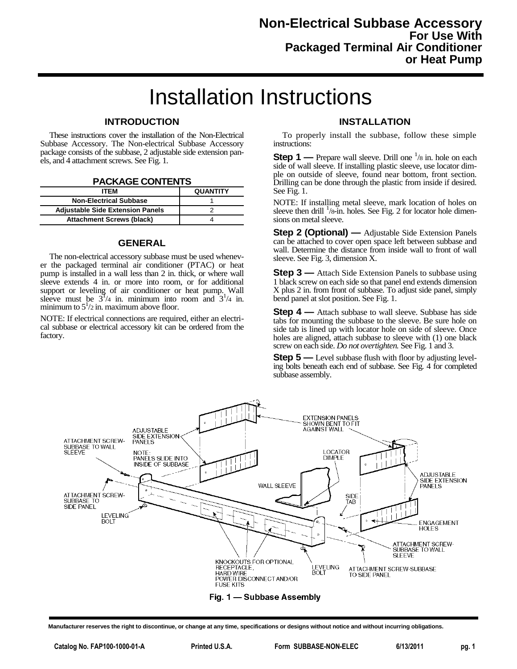## Installation Instructions

## **INTRODUCTION**

These instructions cover the installation of the Non-Electrical Subbase Accessory. The Non-electrical Subbase Accessory package consists of the subbase, 2 adjustable side extension panels, and 4 attachment screws. See Fig. 1.

|  | <b>PACKAGE CONTENTS</b> |
|--|-------------------------|
|--|-------------------------|

| <b>ITFM</b>                             | <b>QUANTITY</b> |
|-----------------------------------------|-----------------|
| <b>Non-Electrical Subbase</b>           |                 |
| <b>Adjustable Side Extension Panels</b> |                 |
| <b>Attachment Screws (black)</b>        |                 |

## **GENERAL**

The non-electrical accessory subbase must be used whenever the packaged terminal air conditioner (PTAC) or heat pump is installed in a wall less than 2 in. thick, or where wall sleeve extends 4 in. or more into room, or for additional support or leveling of air conditioner or heat pump. Wall sleeve must be  $3^1/4$  in. minimum into room and  $3^1/4$  in. minimum to  $5^1/2$  in. maximum above floor.

NOTE: If electrical connections are required, either an electrical subbase or electrical accessory kit can be ordered from the factory.

## **INSTALLATION**

To properly install the subbase, follow these simple instructions:

**Step 1** — Prepare wall sleeve. Drill one <sup>1</sup>/8 in. hole on each side of wall sleeve. If installing plastic sleeve, use locator dimple on outside of sleeve, found near bottom, front section. Drilling can be done through the plastic from inside if desired. See Fig. 1.

NOTE: If installing metal sleeve, mark location of holes on sleeve then drill <sup>1</sup>/8-in. holes. See Fig. 2 for locator hole dimensions on metal sleeve.

**Step 2 (Optional)** — Adjustable Side Extension Panels can be attached to cover open space left between subbase and wall. Determine the distance from inside wall to front of wall sleeve. See Fig. 3, dimension X.

**Step 3** — Attach Side Extension Panels to subbase using 1 black screw on each side so that panel end extends dimension X plus 2 in. from front of subbase. To adjust side panel, simply bend panel at slot position. See Fig. 1.

**Step 4** — Attach subbase to wall sleeve. Subbase has side tabs for mounting the subbase to the sleeve. Be sure hole on side tab is lined up with locator hole on side of sleeve. Once holes are aligned, attach subbase to sleeve with (1) one black screw on each side. *Do not overtighten.* See Fig. 1 and 3.

**Step 5** — Level subbase flush with floor by adjusting leveling bolts beneath each end of subbase. See Fig. 4 for completed subbase assembly.



**Manufacturer reserves the right to discontinue, or change at any time, specifications or designs without notice and without incurring obligations.**